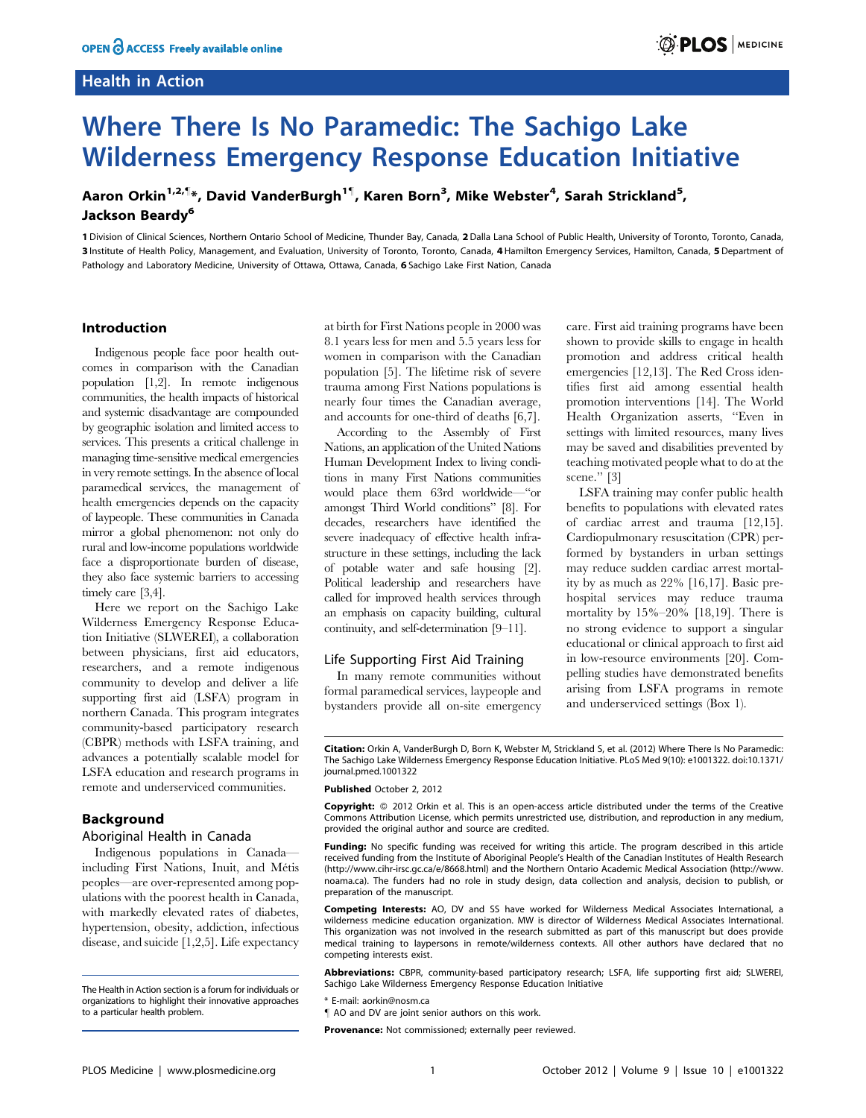## Health in Action



# Where There Is No Paramedic: The Sachigo Lake Wilderness Emergency Response Education Initiative

Aaron Orkin<sup>1,2,¶</sup>\*, David VanderBurgh<sup>1¶</sup>, Karen Born<sup>3</sup>, Mike Webster<sup>4</sup>, Sarah Strickland<sup>5</sup>, Jackson Beardy<sup>6</sup>

1 Division of Clinical Sciences, Northern Ontario School of Medicine, Thunder Bay, Canada, 2Dalla Lana School of Public Health, University of Toronto, Toronto, Canada, 3 Institute of Health Policy, Management, and Evaluation, University of Toronto, Toronto, Canada, 4 Hamilton Emergency Services, Hamilton, Canada, 5 Department of Pathology and Laboratory Medicine, University of Ottawa, Ottawa, Canada, 6 Sachigo Lake First Nation, Canada

#### Introduction

Indigenous people face poor health outcomes in comparison with the Canadian population [1,2]. In remote indigenous communities, the health impacts of historical and systemic disadvantage are compounded by geographic isolation and limited access to services. This presents a critical challenge in managing time-sensitive medical emergencies in very remote settings. In the absence of local paramedical services, the management of health emergencies depends on the capacity of laypeople. These communities in Canada mirror a global phenomenon: not only do rural and low-income populations worldwide face a disproportionate burden of disease, they also face systemic barriers to accessing timely care [3,4].

Here we report on the Sachigo Lake Wilderness Emergency Response Education Initiative (SLWEREI), a collaboration between physicians, first aid educators, researchers, and a remote indigenous community to develop and deliver a life supporting first aid (LSFA) program in northern Canada. This program integrates community-based participatory research (CBPR) methods with LSFA training, and advances a potentially scalable model for LSFA education and research programs in remote and underserviced communities.

#### Background

#### Aboriginal Health in Canada

Indigenous populations in Canada including First Nations, Inuit, and Métis peoples—are over-represented among populations with the poorest health in Canada, with markedly elevated rates of diabetes, hypertension, obesity, addiction, infectious disease, and suicide [1,2,5]. Life expectancy at birth for First Nations people in 2000 was 8.1 years less for men and 5.5 years less for women in comparison with the Canadian population [5]. The lifetime risk of severe trauma among First Nations populations is nearly four times the Canadian average, and accounts for one-third of deaths [6,7].

According to the Assembly of First Nations, an application of the United Nations Human Development Index to living conditions in many First Nations communities would place them 63rd worldwide—''or amongst Third World conditions'' [8]. For decades, researchers have identified the severe inadequacy of effective health infrastructure in these settings, including the lack of potable water and safe housing [2]. Political leadership and researchers have called for improved health services through an emphasis on capacity building, cultural continuity, and self-determination [9–11].

#### Life Supporting First Aid Training

In many remote communities without formal paramedical services, laypeople and bystanders provide all on-site emergency care. First aid training programs have been shown to provide skills to engage in health promotion and address critical health emergencies [12,13]. The Red Cross identifies first aid among essential health promotion interventions [14]. The World Health Organization asserts, ''Even in settings with limited resources, many lives may be saved and disabilities prevented by teaching motivated people what to do at the scene.'' [3]

LSFA training may confer public health benefits to populations with elevated rates of cardiac arrest and trauma [12,15]. Cardiopulmonary resuscitation (CPR) performed by bystanders in urban settings may reduce sudden cardiac arrest mortality by as much as 22% [16,17]. Basic prehospital services may reduce trauma mortality by 15%–20% [18,19]. There is no strong evidence to support a singular educational or clinical approach to first aid in low-resource environments [20]. Compelling studies have demonstrated benefits arising from LSFA programs in remote and underserviced settings (Box 1).

Citation: Orkin A, VanderBurgh D, Born K, Webster M, Strickland S, et al. (2012) Where There Is No Paramedic: The Sachigo Lake Wilderness Emergency Response Education Initiative. PLoS Med 9(10): e1001322. doi:10.1371/ journal.pmed.1001322

#### Published October 2, 2012

Copyright: © 2012 Orkin et al. This is an open-access article distributed under the terms of the Creative Commons Attribution License, which permits unrestricted use, distribution, and reproduction in any medium, provided the original author and source are credited.

Funding: No specific funding was received for writing this article. The program described in this article received funding from the Institute of Aboriginal People's Health of the Canadian Institutes of Health Research (http://www.cihr-irsc.gc.ca/e/8668.html) and the Northern Ontario Academic Medical Association (http://www. noama.ca). The funders had no role in study design, data collection and analysis, decision to publish, or preparation of the manuscript.

Competing Interests: AO, DV and SS have worked for Wilderness Medical Associates International, a wilderness medicine education organization. MW is director of Wilderness Medical Associates International. This organization was not involved in the research submitted as part of this manuscript but does provide medical training to laypersons in remote/wilderness contexts. All other authors have declared that no competing interests exist.

Abbreviations: CBPR, community-based participatory research; LSFA, life supporting first aid; SLWEREI, Sachigo Lake Wilderness Emergency Response Education Initiative

\* E-mail: aorkin@nosm.ca

Provenance: Not commissioned; externally peer reviewed.

The Health in Action section is a forum for individuals or organizations to highlight their innovative approaches to a particular health problem.

<sup>&</sup>quot; AO and DV are joint senior authors on this work.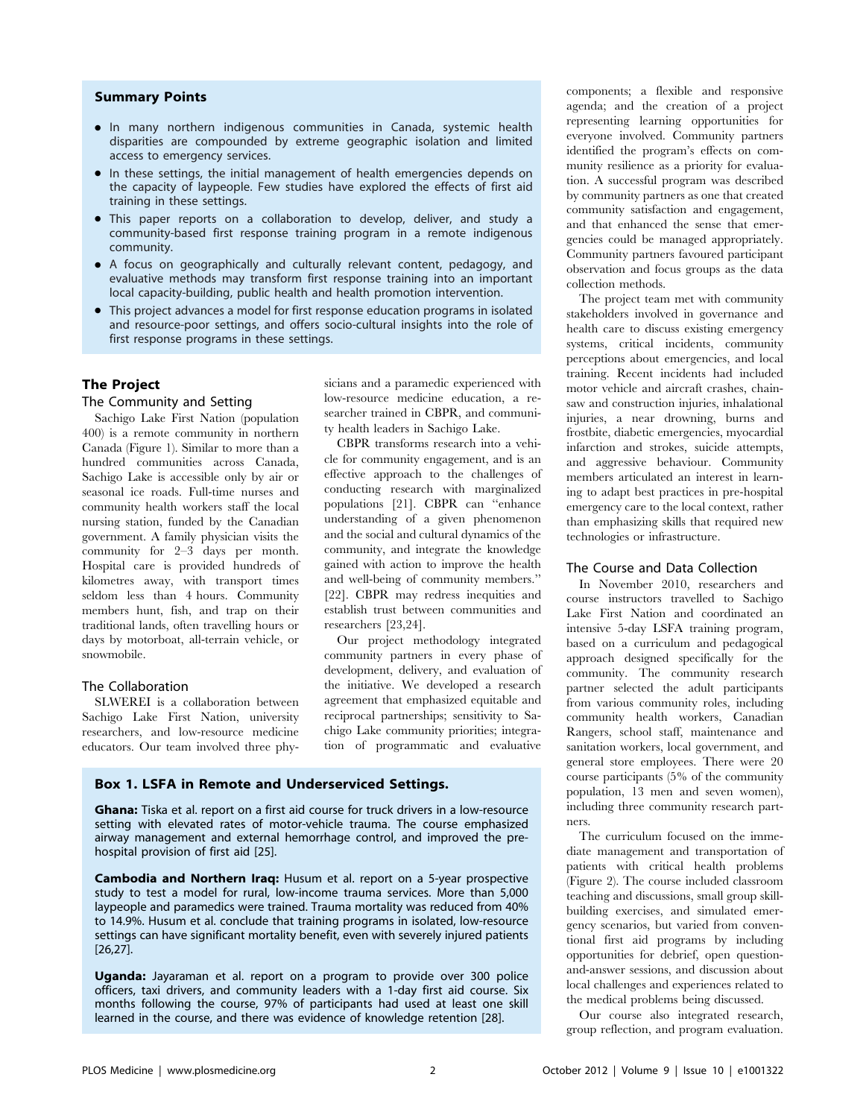#### Summary Points

- N In many northern indigenous communities in Canada, systemic health disparities are compounded by extreme geographic isolation and limited access to emergency services.
- In these settings, the initial management of health emergencies depends on the capacity of laypeople. Few studies have explored the effects of first aid training in these settings.
- This paper reports on a collaboration to develop, deliver, and study a community-based first response training program in a remote indigenous community.
- A focus on geographically and culturally relevant content, pedagogy, and evaluative methods may transform first response training into an important local capacity-building, public health and health promotion intervention.
- This project advances a model for first response education programs in isolated and resource-poor settings, and offers socio-cultural insights into the role of first response programs in these settings.

## The Project

#### The Community and Setting

Sachigo Lake First Nation (population 400) is a remote community in northern Canada (Figure 1). Similar to more than a hundred communities across Canada, Sachigo Lake is accessible only by air or seasonal ice roads. Full-time nurses and community health workers staff the local nursing station, funded by the Canadian government. A family physician visits the community for 2–3 days per month. Hospital care is provided hundreds of kilometres away, with transport times seldom less than 4 hours. Community members hunt, fish, and trap on their traditional lands, often travelling hours or days by motorboat, all-terrain vehicle, or snowmobile.

## The Collaboration

SLWEREI is a collaboration between Sachigo Lake First Nation, university researchers, and low-resource medicine educators. Our team involved three physicians and a paramedic experienced with low-resource medicine education, a researcher trained in CBPR, and community health leaders in Sachigo Lake.

CBPR transforms research into a vehicle for community engagement, and is an effective approach to the challenges of conducting research with marginalized populations [21]. CBPR can ''enhance understanding of a given phenomenon and the social and cultural dynamics of the community, and integrate the knowledge gained with action to improve the health and well-being of community members.'' [22]. CBPR may redress inequities and establish trust between communities and researchers [23,24].

Our project methodology integrated community partners in every phase of development, delivery, and evaluation of the initiative. We developed a research agreement that emphasized equitable and reciprocal partnerships; sensitivity to Sachigo Lake community priorities; integration of programmatic and evaluative

#### Box 1. LSFA in Remote and Underserviced Settings.

Ghana: Tiska et al. report on a first aid course for truck drivers in a low-resource setting with elevated rates of motor-vehicle trauma. The course emphasized airway management and external hemorrhage control, and improved the prehospital provision of first aid [25].

Cambodia and Northern Iraq: Husum et al. report on a 5-year prospective study to test a model for rural, low-income trauma services. More than 5,000 laypeople and paramedics were trained. Trauma mortality was reduced from 40% to 14.9%. Husum et al. conclude that training programs in isolated, low-resource settings can have significant mortality benefit, even with severely injured patients [26,27].

Uganda: Jayaraman et al. report on a program to provide over 300 police officers, taxi drivers, and community leaders with a 1-day first aid course. Six months following the course, 97% of participants had used at least one skill learned in the course, and there was evidence of knowledge retention [28].

components; a flexible and responsive agenda; and the creation of a project representing learning opportunities for everyone involved. Community partners identified the program's effects on community resilience as a priority for evaluation. A successful program was described by community partners as one that created community satisfaction and engagement, and that enhanced the sense that emergencies could be managed appropriately. Community partners favoured participant observation and focus groups as the data collection methods.

The project team met with community stakeholders involved in governance and health care to discuss existing emergency systems, critical incidents, community perceptions about emergencies, and local training. Recent incidents had included motor vehicle and aircraft crashes, chainsaw and construction injuries, inhalational injuries, a near drowning, burns and frostbite, diabetic emergencies, myocardial infarction and strokes, suicide attempts, and aggressive behaviour. Community members articulated an interest in learning to adapt best practices in pre-hospital emergency care to the local context, rather than emphasizing skills that required new technologies or infrastructure.

#### The Course and Data Collection

In November 2010, researchers and course instructors travelled to Sachigo Lake First Nation and coordinated an intensive 5-day LSFA training program, based on a curriculum and pedagogical approach designed specifically for the community. The community research partner selected the adult participants from various community roles, including community health workers, Canadian Rangers, school staff, maintenance and sanitation workers, local government, and general store employees. There were 20 course participants (5% of the community population, 13 men and seven women), including three community research partners.

The curriculum focused on the immediate management and transportation of patients with critical health problems (Figure 2). The course included classroom teaching and discussions, small group skillbuilding exercises, and simulated emergency scenarios, but varied from conventional first aid programs by including opportunities for debrief, open questionand-answer sessions, and discussion about local challenges and experiences related to the medical problems being discussed.

Our course also integrated research, group reflection, and program evaluation.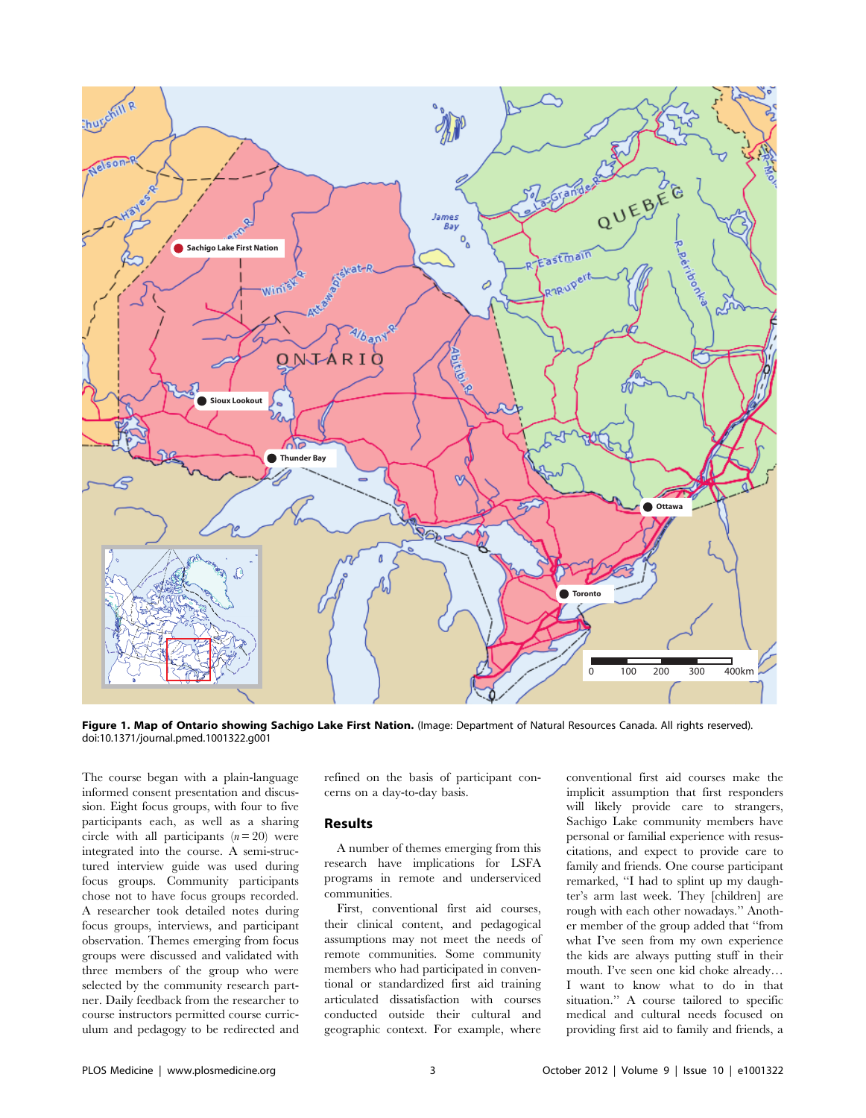

Figure 1. Map of Ontario showing Sachigo Lake First Nation. (Image: Department of Natural Resources Canada. All rights reserved). doi:10.1371/journal.pmed.1001322.g001

The course began with a plain-language informed consent presentation and discussion. Eight focus groups, with four to five participants each, as well as a sharing circle with all participants  $(n=20)$  were integrated into the course. A semi-structured interview guide was used during focus groups. Community participants chose not to have focus groups recorded. A researcher took detailed notes during focus groups, interviews, and participant observation. Themes emerging from focus groups were discussed and validated with three members of the group who were selected by the community research partner. Daily feedback from the researcher to course instructors permitted course curriculum and pedagogy to be redirected and refined on the basis of participant concerns on a day-to-day basis.

#### Results

A number of themes emerging from this research have implications for LSFA programs in remote and underserviced communities.

First, conventional first aid courses, their clinical content, and pedagogical assumptions may not meet the needs of remote communities. Some community members who had participated in conventional or standardized first aid training articulated dissatisfaction with courses conducted outside their cultural and geographic context. For example, where

conventional first aid courses make the implicit assumption that first responders will likely provide care to strangers, Sachigo Lake community members have personal or familial experience with resuscitations, and expect to provide care to family and friends. One course participant remarked, ''I had to splint up my daughter's arm last week. They [children] are rough with each other nowadays.'' Another member of the group added that ''from what I've seen from my own experience the kids are always putting stuff in their mouth. I've seen one kid choke already… I want to know what to do in that situation.'' A course tailored to specific medical and cultural needs focused on providing first aid to family and friends, a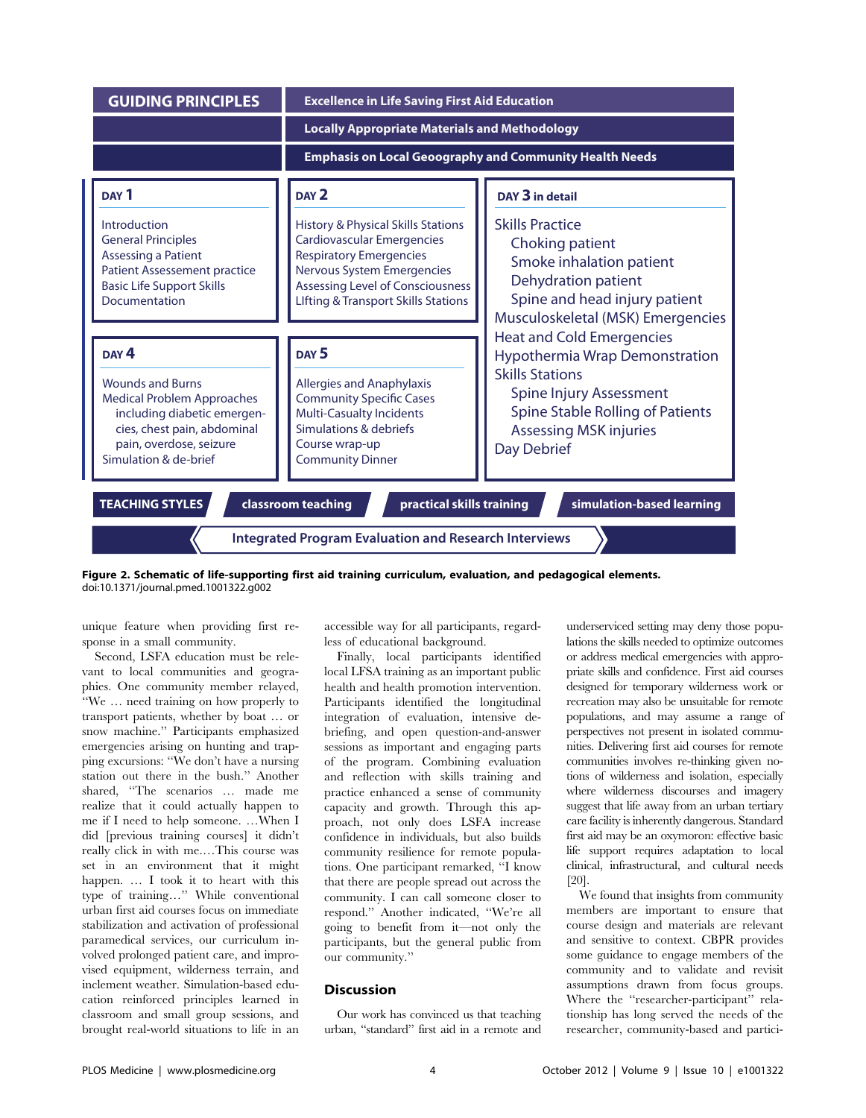| <b>GUIDING PRINCIPLES</b>                                                                                                                                                      | <b>Excellence in Life Saving First Aid Education</b>                                                                                                                                                                                            |                                                                                                                                                                    |
|--------------------------------------------------------------------------------------------------------------------------------------------------------------------------------|-------------------------------------------------------------------------------------------------------------------------------------------------------------------------------------------------------------------------------------------------|--------------------------------------------------------------------------------------------------------------------------------------------------------------------|
|                                                                                                                                                                                | <b>Locally Appropriate Materials and Methodology</b>                                                                                                                                                                                            |                                                                                                                                                                    |
|                                                                                                                                                                                | <b>Emphasis on Local Geoography and Community Health Needs</b>                                                                                                                                                                                  |                                                                                                                                                                    |
| DAY <sub>1</sub>                                                                                                                                                               | DAY <sub>2</sub>                                                                                                                                                                                                                                | DAY 3 in detail                                                                                                                                                    |
| Introduction<br><b>General Principles</b><br><b>Assessing a Patient</b><br><b>Patient Assessement practice</b><br><b>Basic Life Support Skills</b><br>Documentation            | <b>History &amp; Physical Skills Stations</b><br><b>Cardiovascular Emergencies</b><br><b>Respiratory Emergencies</b><br><b>Nervous System Emergencies</b><br>Assessing Level of Consciousness<br><b>Lifting &amp; Transport Skills Stations</b> | <b>Skills Practice</b><br>Choking patient<br>Smoke inhalation patient<br>Dehydration patient<br>Spine and head injury patient<br>Musculoskeletal (MSK) Emergencies |
|                                                                                                                                                                                |                                                                                                                                                                                                                                                 | <b>Heat and Cold Emergencies</b>                                                                                                                                   |
| DAY <sub>4</sub>                                                                                                                                                               | DAY <sub>5</sub>                                                                                                                                                                                                                                | Hypothermia Wrap Demonstration<br><b>Skills Stations</b>                                                                                                           |
| <b>Wounds and Burns</b><br><b>Medical Problem Approaches</b><br>including diabetic emergen-<br>cies, chest pain, abdominal<br>pain, overdose, seizure<br>Simulation & de-brief | <b>Allergies and Anaphylaxis</b><br><b>Community Specific Cases</b><br><b>Multi-Casualty Incidents</b><br>Simulations & debriefs<br>Course wrap-up<br><b>Community Dinner</b>                                                                   | Spine Injury Assessment<br>Spine Stable Rolling of Patients<br><b>Assessing MSK injuries</b><br>Day Debrief                                                        |
| <b>TEACHING STYLES</b><br>classroom teaching<br>practical skills training<br>simulation-based learning                                                                         |                                                                                                                                                                                                                                                 |                                                                                                                                                                    |
| <b>Integrated Program Evaluation and Research Interviews</b>                                                                                                                   |                                                                                                                                                                                                                                                 |                                                                                                                                                                    |

Figure 2. Schematic of life-supporting first aid training curriculum, evaluation, and pedagogical elements. doi:10.1371/journal.pmed.1001322.g002

unique feature when providing first response in a small community.

Second, LSFA education must be relevant to local communities and geographies. One community member relayed, ''We … need training on how properly to transport patients, whether by boat … or snow machine.'' Participants emphasized emergencies arising on hunting and trapping excursions: ''We don't have a nursing station out there in the bush.'' Another shared, ''The scenarios … made me realize that it could actually happen to me if I need to help someone. …When I did [previous training courses] it didn't really click in with me.…This course was set in an environment that it might happen. … I took it to heart with this type of training…'' While conventional urban first aid courses focus on immediate stabilization and activation of professional paramedical services, our curriculum involved prolonged patient care, and improvised equipment, wilderness terrain, and inclement weather. Simulation-based education reinforced principles learned in classroom and small group sessions, and brought real-world situations to life in an accessible way for all participants, regardless of educational background.

Finally, local participants identified local LFSA training as an important public health and health promotion intervention. Participants identified the longitudinal integration of evaluation, intensive debriefing, and open question-and-answer sessions as important and engaging parts of the program. Combining evaluation and reflection with skills training and practice enhanced a sense of community capacity and growth. Through this approach, not only does LSFA increase confidence in individuals, but also builds community resilience for remote populations. One participant remarked, ''I know that there are people spread out across the community. I can call someone closer to respond.'' Another indicated, ''We're all going to benefit from it—not only the participants, but the general public from our community.''

### Discussion

Our work has convinced us that teaching urban, ''standard'' first aid in a remote and underserviced setting may deny those populations the skills needed to optimize outcomes or address medical emergencies with appropriate skills and confidence. First aid courses designed for temporary wilderness work or recreation may also be unsuitable for remote populations, and may assume a range of perspectives not present in isolated communities. Delivering first aid courses for remote communities involves re-thinking given notions of wilderness and isolation, especially where wilderness discourses and imagery suggest that life away from an urban tertiary care facility is inherently dangerous. Standard first aid may be an oxymoron: effective basic life support requires adaptation to local clinical, infrastructural, and cultural needs [20].

We found that insights from community members are important to ensure that course design and materials are relevant and sensitive to context. CBPR provides some guidance to engage members of the community and to validate and revisit assumptions drawn from focus groups. Where the "researcher-participant" relationship has long served the needs of the researcher, community-based and partici